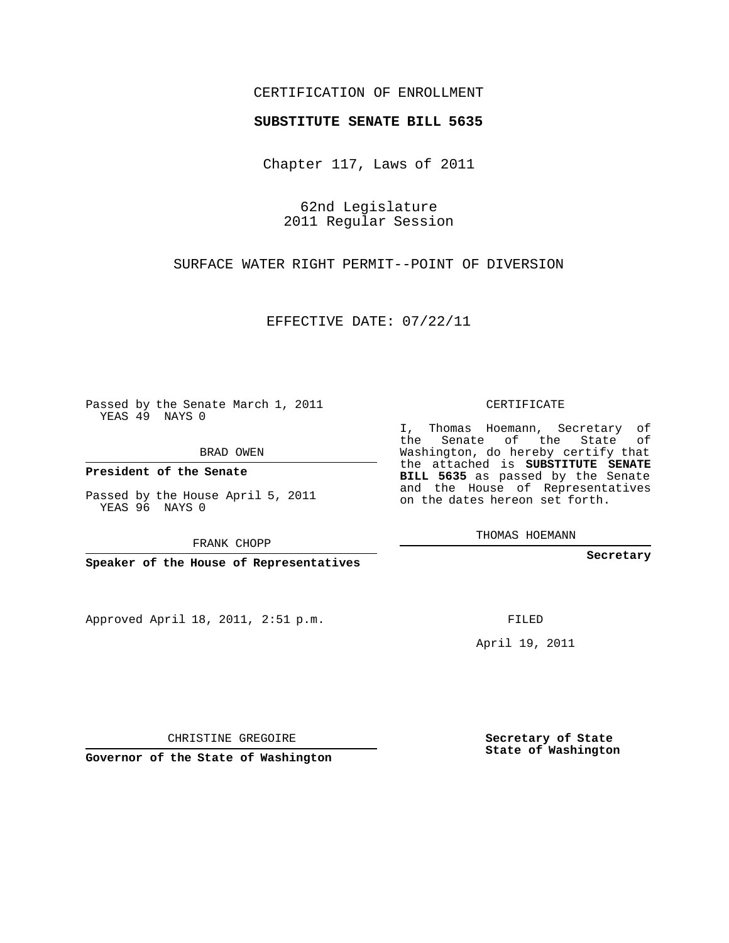## CERTIFICATION OF ENROLLMENT

## **SUBSTITUTE SENATE BILL 5635**

Chapter 117, Laws of 2011

62nd Legislature 2011 Regular Session

SURFACE WATER RIGHT PERMIT--POINT OF DIVERSION

EFFECTIVE DATE: 07/22/11

Passed by the Senate March 1, 2011 YEAS 49 NAYS 0

BRAD OWEN

**President of the Senate**

Passed by the House April 5, 2011 YEAS 96 NAYS 0

FRANK CHOPP

**Speaker of the House of Representatives**

Approved April 18, 2011, 2:51 p.m.

CERTIFICATE

I, Thomas Hoemann, Secretary of the Senate of the State of Washington, do hereby certify that the attached is **SUBSTITUTE SENATE BILL 5635** as passed by the Senate and the House of Representatives on the dates hereon set forth.

THOMAS HOEMANN

**Secretary**

FILED

April 19, 2011

CHRISTINE GREGOIRE

**Governor of the State of Washington**

**Secretary of State State of Washington**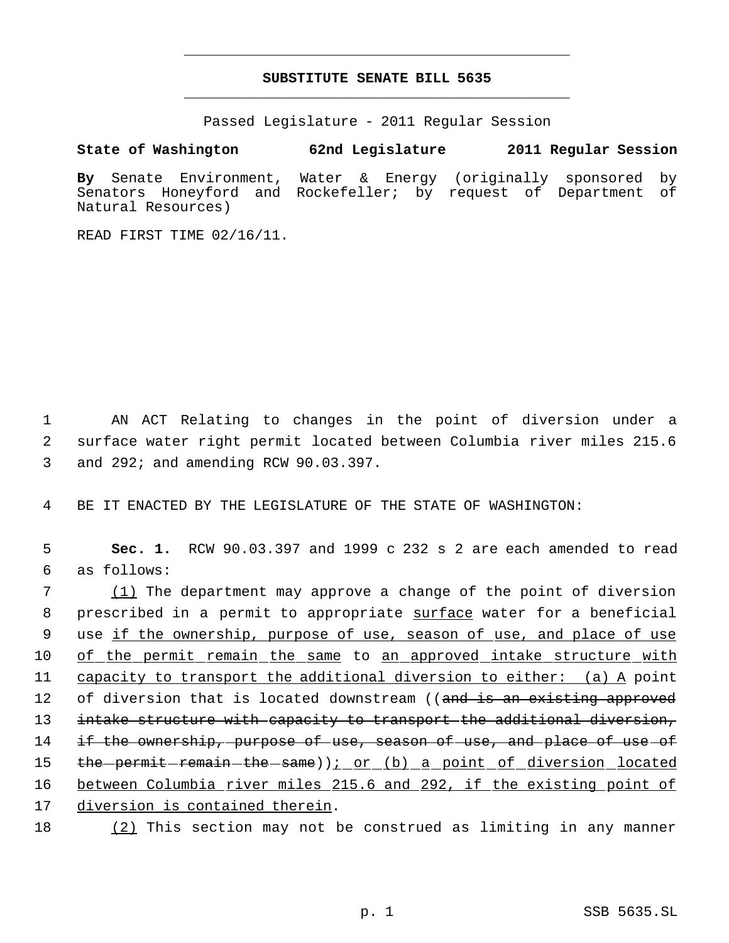## **SUBSTITUTE SENATE BILL 5635** \_\_\_\_\_\_\_\_\_\_\_\_\_\_\_\_\_\_\_\_\_\_\_\_\_\_\_\_\_\_\_\_\_\_\_\_\_\_\_\_\_\_\_\_\_

\_\_\_\_\_\_\_\_\_\_\_\_\_\_\_\_\_\_\_\_\_\_\_\_\_\_\_\_\_\_\_\_\_\_\_\_\_\_\_\_\_\_\_\_\_

Passed Legislature - 2011 Regular Session

## **State of Washington 62nd Legislature 2011 Regular Session**

**By** Senate Environment, Water & Energy (originally sponsored by Senators Honeyford and Rockefeller; by request of Department of Natural Resources)

READ FIRST TIME 02/16/11.

 1 AN ACT Relating to changes in the point of diversion under a 2 surface water right permit located between Columbia river miles 215.6 3 and 292; and amending RCW 90.03.397.

4 BE IT ENACTED BY THE LEGISLATURE OF THE STATE OF WASHINGTON:

 5 **Sec. 1.** RCW 90.03.397 and 1999 c 232 s 2 are each amended to read 6 as follows:

 7 (1) The department may approve a change of the point of diversion 8 prescribed in a permit to appropriate surface water for a beneficial 9 use if the ownership, purpose of use, season of use, and place of use 10 of the permit remain the same to an approved intake structure with 11 capacity to transport the additional diversion to either: (a) A point 12 of diversion that is located downstream ((and is an existing approved 13 intake structure with capacity to transport the additional diversion, 14 if the ownership, purpose of use, season of use, and place of use of 15 the permit remain the same)): or (b) a point of diversion located 16 between Columbia river miles 215.6 and 292, if the existing point of 17 diversion is contained therein.

18 (2) This section may not be construed as limiting in any manner